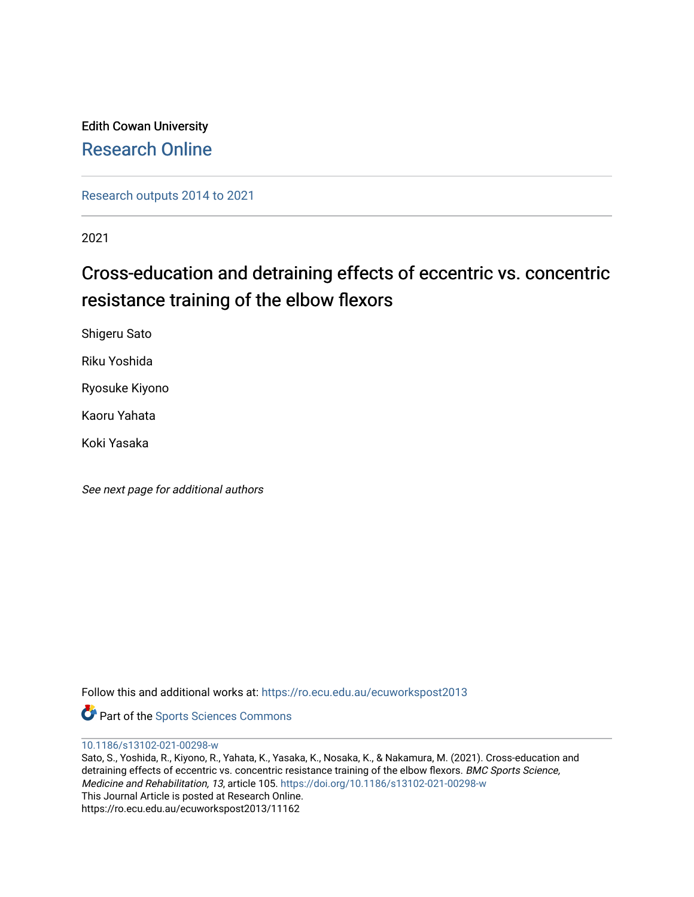## Edith Cowan University [Research Online](https://ro.ecu.edu.au/)

[Research outputs 2014 to 2021](https://ro.ecu.edu.au/ecuworkspost2013) 

2021

## Cross-education and detraining effects of eccentric vs. concentric resistance training of the elbow flexors

Shigeru Sato

Riku Yoshida

Ryosuke Kiyono

Kaoru Yahata

Koki Yasaka

See next page for additional authors

Follow this and additional works at: [https://ro.ecu.edu.au/ecuworkspost2013](https://ro.ecu.edu.au/ecuworkspost2013?utm_source=ro.ecu.edu.au%2Fecuworkspost2013%2F11162&utm_medium=PDF&utm_campaign=PDFCoverPages) 

Part of the [Sports Sciences Commons](http://network.bepress.com/hgg/discipline/759?utm_source=ro.ecu.edu.au%2Fecuworkspost2013%2F11162&utm_medium=PDF&utm_campaign=PDFCoverPages) 

[10.1186/s13102-021-00298-w](http://dx.doi.org/10.1186/s13102-021-00298-w) 

Sato, S., Yoshida, R., Kiyono, R., Yahata, K., Yasaka, K., Nosaka, K., & Nakamura, M. (2021). Cross-education and detraining effects of eccentric vs. concentric resistance training of the elbow flexors. BMC Sports Science, Medicine and Rehabilitation, 13, article 105. <https://doi.org/10.1186/s13102-021-00298-w> This Journal Article is posted at Research Online. https://ro.ecu.edu.au/ecuworkspost2013/11162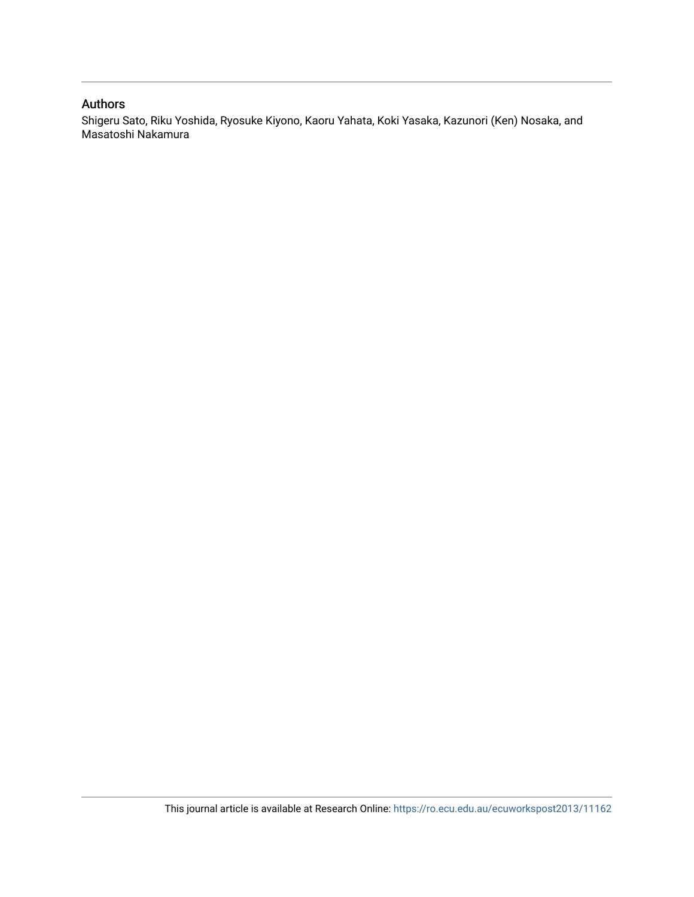### Authors

Shigeru Sato, Riku Yoshida, Ryosuke Kiyono, Kaoru Yahata, Koki Yasaka, Kazunori (Ken) Nosaka, and Masatoshi Nakamura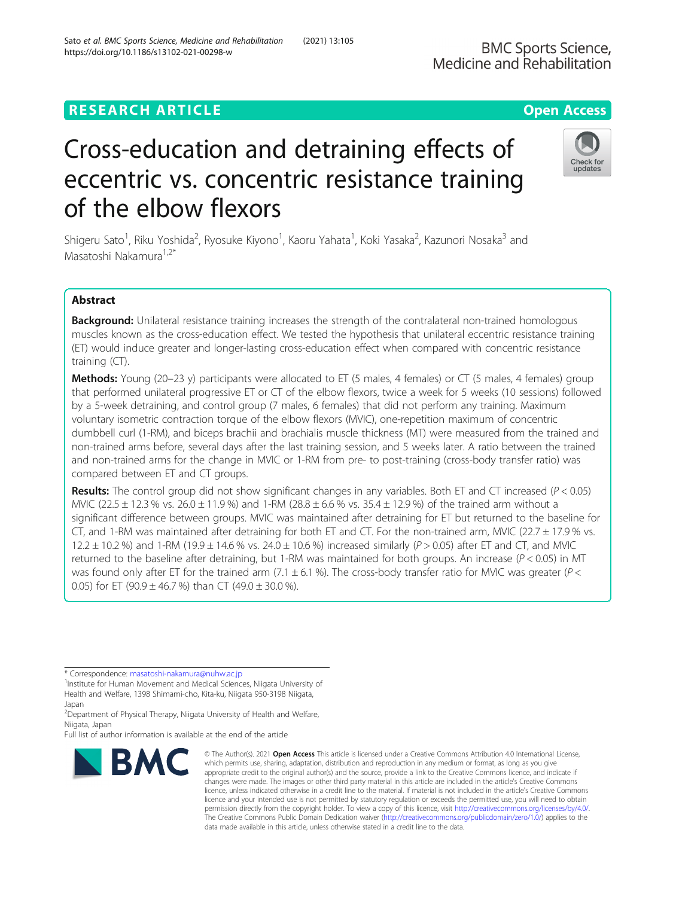## **RESEARCH ARTICLE Example 2014 12:30 The Contract of Contract ACCESS**

# Cross-education and detraining effects of eccentric vs. concentric resistance training of the elbow flexors

Shigeru Sato<sup>1</sup>, Riku Yoshida<sup>2</sup>, Ryosuke Kiyono<sup>1</sup>, Kaoru Yahata<sup>1</sup>, Koki Yasaka<sup>2</sup>, Kazunori Nosaka<sup>3</sup> and Masatoshi Nakamura<sup>1,2\*</sup>

### Abstract

Background: Unilateral resistance training increases the strength of the contralateral non-trained homologous muscles known as the cross-education effect. We tested the hypothesis that unilateral eccentric resistance training (ET) would induce greater and longer-lasting cross-education effect when compared with concentric resistance training (CT).

Methods: Young (20–23 y) participants were allocated to ET (5 males, 4 females) or CT (5 males, 4 females) group that performed unilateral progressive ET or CT of the elbow flexors, twice a week for 5 weeks (10 sessions) followed by a 5-week detraining, and control group (7 males, 6 females) that did not perform any training. Maximum voluntary isometric contraction torque of the elbow flexors (MVIC), one-repetition maximum of concentric dumbbell curl (1-RM), and biceps brachii and brachialis muscle thickness (MT) were measured from the trained and non-trained arms before, several days after the last training session, and 5 weeks later. A ratio between the trained and non-trained arms for the change in MVIC or 1-RM from pre- to post-training (cross-body transfer ratio) was compared between ET and CT groups.

**Results:** The control group did not show significant changes in any variables. Both ET and CT increased ( $P < 0.05$ ) MVIC (22.5  $\pm$  12.3 % vs. 26.0  $\pm$  11.9 %) and 1-RM (28.8  $\pm$  6.6 % vs. 35.4  $\pm$  12.9 %) of the trained arm without a significant difference between groups. MVIC was maintained after detraining for ET but returned to the baseline for CT, and 1-RM was maintained after detraining for both ET and CT. For the non-trained arm, MVIC (22.7  $\pm$  17.9% vs. 12.2  $\pm$  10.2 %) and 1-RM (19.9  $\pm$  14.6 % vs. 24.0  $\pm$  10.6 %) increased similarly (P > 0.05) after ET and CT, and MVIC returned to the baseline after detraining, but 1-RM was maintained for both groups. An increase ( $P < 0.05$ ) in MT was found only after ET for the trained arm (7.1  $\pm$  6.1 %). The cross-body transfer ratio for MVIC was greater (P < 0.05) for ET (90.9  $\pm$  46.7 %) than CT (49.0  $\pm$  30.0 %).

\* Correspondence: [masatoshi-nakamura@nuhw.ac.jp](mailto:masatoshi-nakamura@nuhw.ac.jp) <sup>1</sup>

**BMC** 

<sup>1</sup> Institute for Human Movement and Medical Sciences, Niigata University of Health and Welfare, 1398 Shimami-cho, Kita-ku, Niigata 950-3198 Niigata, Japan

<sup>2</sup> Department of Physical Therapy, Niigata University of Health and Welfare, Niigata, Japan

Full list of author information is available at the end of the article

#### © The Author(s), 2021 **Open Access** This article is licensed under a Creative Commons Attribution 4.0 International License, which permits use, sharing, adaptation, distribution and reproduction in any medium or format, as long as you give appropriate credit to the original author(s) and the source, provide a link to the Creative Commons licence, and indicate if changes were made. The images or other third party material in this article are included in the article's Creative Commons licence, unless indicated otherwise in a credit line to the material. If material is not included in the article's Creative Commons licence and your intended use is not permitted by statutory regulation or exceeds the permitted use, you will need to obtain permission directly from the copyright holder. To view a copy of this licence, visit [http://creativecommons.org/licenses/by/4.0/.](http://creativecommons.org/licenses/by/4.0/) The Creative Commons Public Domain Dedication waiver [\(http://creativecommons.org/publicdomain/zero/1.0/](http://creativecommons.org/publicdomain/zero/1.0/)) applies to the data made available in this article, unless otherwise stated in a credit line to the data.

Sato et al. BMC Sports Science, Medicine and Rehabilitation (2021) 13:105 https://doi.org/10.1186/s13102-021-00298-w



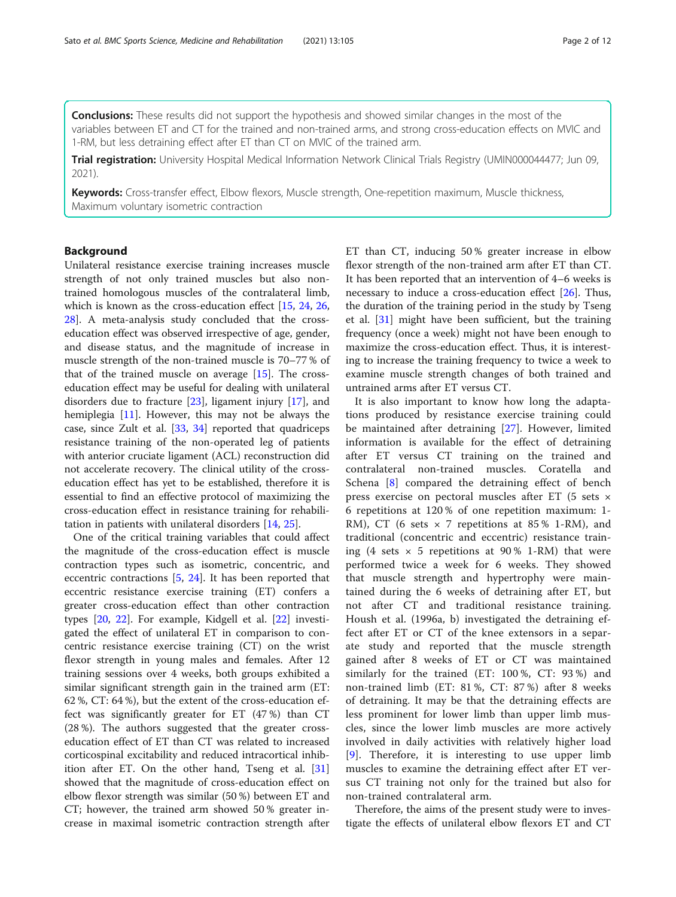**Conclusions:** These results did not support the hypothesis and showed similar changes in the most of the variables between ET and CT for the trained and non-trained arms, and strong cross-education effects on MVIC and 1-RM, but less detraining effect after ET than CT on MVIC of the trained arm.

Trial registration: University Hospital Medical Information Network Clinical Trials Registry (UMIN000044477; Jun 09, 2021).

Keywords: Cross-transfer effect, Elbow flexors, Muscle strength, One-repetition maximum, Muscle thickness, Maximum voluntary isometric contraction

#### Background

Unilateral resistance exercise training increases muscle strength of not only trained muscles but also nontrained homologous muscles of the contralateral limb, which is known as the cross-education effect [\[15](#page-13-0), [24](#page-13-0), [26](#page-13-0), [28\]](#page-13-0). A meta-analysis study concluded that the crosseducation effect was observed irrespective of age, gender, and disease status, and the magnitude of increase in muscle strength of the non-trained muscle is 70–77 % of that of the trained muscle on average  $[15]$ . The crosseducation effect may be useful for dealing with unilateral disorders due to fracture [[23](#page-13-0)], ligament injury [[17](#page-13-0)], and hemiplegia [[11\]](#page-13-0). However, this may not be always the case, since Zult et al. [\[33,](#page-13-0) [34\]](#page-13-0) reported that quadriceps resistance training of the non-operated leg of patients with anterior cruciate ligament (ACL) reconstruction did not accelerate recovery. The clinical utility of the crosseducation effect has yet to be established, therefore it is essential to find an effective protocol of maximizing the cross-education effect in resistance training for rehabilitation in patients with unilateral disorders [\[14](#page-13-0), [25\]](#page-13-0).

One of the critical training variables that could affect the magnitude of the cross-education effect is muscle contraction types such as isometric, concentric, and eccentric contractions [[5,](#page-13-0) [24\]](#page-13-0). It has been reported that eccentric resistance exercise training (ET) confers a greater cross-education effect than other contraction types [\[20](#page-13-0), [22\]](#page-13-0). For example, Kidgell et al. [[22\]](#page-13-0) investigated the effect of unilateral ET in comparison to concentric resistance exercise training (CT) on the wrist flexor strength in young males and females. After 12 training sessions over 4 weeks, both groups exhibited a similar significant strength gain in the trained arm (ET: 62 %, CT: 64 %), but the extent of the cross-education effect was significantly greater for ET (47 %) than CT (28 %). The authors suggested that the greater crosseducation effect of ET than CT was related to increased corticospinal excitability and reduced intracortical inhibition after ET. On the other hand, Tseng et al. [[31](#page-13-0)] showed that the magnitude of cross-education effect on elbow flexor strength was similar (50 %) between ET and CT; however, the trained arm showed 50 % greater increase in maximal isometric contraction strength after ET than CT, inducing 50 % greater increase in elbow flexor strength of the non-trained arm after ET than CT. It has been reported that an intervention of 4–6 weeks is necessary to induce a cross-education effect [\[26](#page-13-0)]. Thus, the duration of the training period in the study by Tseng et al. [[31\]](#page-13-0) might have been sufficient, but the training frequency (once a week) might not have been enough to maximize the cross-education effect. Thus, it is interesting to increase the training frequency to twice a week to examine muscle strength changes of both trained and untrained arms after ET versus CT.

It is also important to know how long the adaptations produced by resistance exercise training could be maintained after detraining [[27\]](#page-13-0). However, limited information is available for the effect of detraining after ET versus CT training on the trained and contralateral non-trained muscles. Coratella and Schena [\[8](#page-13-0)] compared the detraining effect of bench press exercise on pectoral muscles after ET (5 sets × 6 repetitions at 120 % of one repetition maximum: 1- RM), CT (6 sets  $\times$  7 repetitions at 85% 1-RM), and traditional (concentric and eccentric) resistance training (4 sets  $\times$  5 repetitions at 90% 1-RM) that were performed twice a week for 6 weeks. They showed that muscle strength and hypertrophy were maintained during the 6 weeks of detraining after ET, but not after CT and traditional resistance training. Housh et al. (1996a, b) investigated the detraining effect after ET or CT of the knee extensors in a separate study and reported that the muscle strength gained after 8 weeks of ET or CT was maintained similarly for the trained (ET: 100 %, CT: 93 %) and non-trained limb (ET: 81 %, CT: 87 %) after 8 weeks of detraining. It may be that the detraining effects are less prominent for lower limb than upper limb muscles, since the lower limb muscles are more actively involved in daily activities with relatively higher load [[9](#page-13-0)]. Therefore, it is interesting to use upper limb muscles to examine the detraining effect after ET versus CT training not only for the trained but also for non-trained contralateral arm.

Therefore, the aims of the present study were to investigate the effects of unilateral elbow flexors ET and CT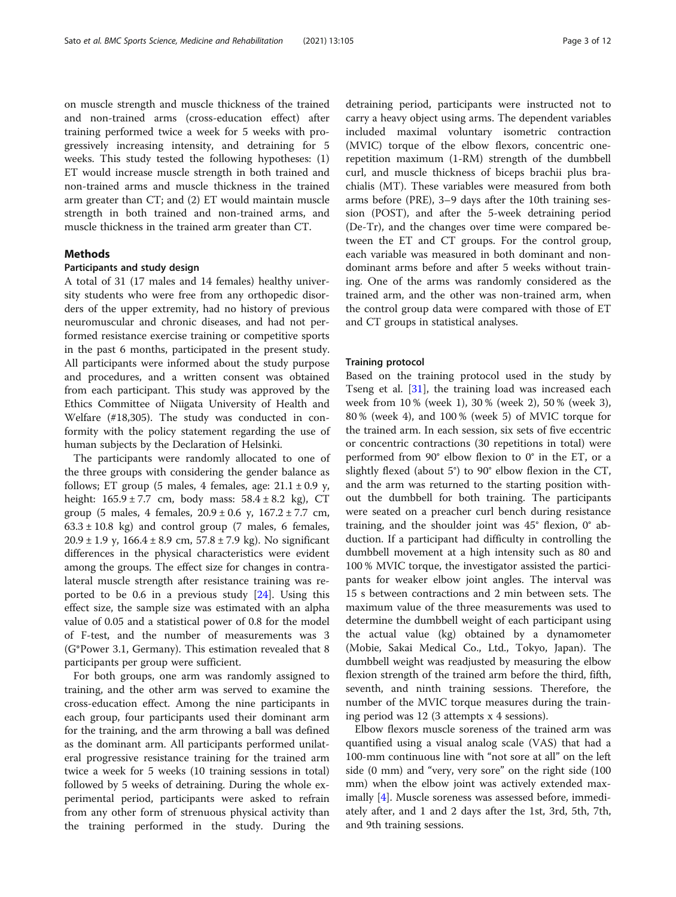on muscle strength and muscle thickness of the trained and non-trained arms (cross-education effect) after training performed twice a week for 5 weeks with progressively increasing intensity, and detraining for 5 weeks. This study tested the following hypotheses: (1) ET would increase muscle strength in both trained and non-trained arms and muscle thickness in the trained arm greater than CT; and (2) ET would maintain muscle strength in both trained and non-trained arms, and muscle thickness in the trained arm greater than CT.

#### Methods

#### Participants and study design

A total of 31 (17 males and 14 females) healthy university students who were free from any orthopedic disorders of the upper extremity, had no history of previous neuromuscular and chronic diseases, and had not performed resistance exercise training or competitive sports in the past 6 months, participated in the present study. All participants were informed about the study purpose and procedures, and a written consent was obtained from each participant. This study was approved by the Ethics Committee of Niigata University of Health and Welfare (#18,305). The study was conducted in conformity with the policy statement regarding the use of human subjects by the Declaration of Helsinki.

The participants were randomly allocated to one of the three groups with considering the gender balance as follows; ET group (5 males, 4 females, age:  $21.1 \pm 0.9$  y, height:  $165.9 \pm 7.7$  cm, body mass:  $58.4 \pm 8.2$  kg), CT group (5 males, 4 females,  $20.9 \pm 0.6$  y,  $167.2 \pm 7.7$  cm,  $63.3 \pm 10.8$  kg) and control group (7 males, 6 females,  $20.9 \pm 1.9$  y,  $166.4 \pm 8.9$  cm,  $57.8 \pm 7.9$  kg). No significant differences in the physical characteristics were evident among the groups. The effect size for changes in contralateral muscle strength after resistance training was reported to be 0.6 in a previous study [[24](#page-13-0)]. Using this effect size, the sample size was estimated with an alpha value of 0.05 and a statistical power of 0.8 for the model of F-test, and the number of measurements was 3 (G\*Power 3.1, Germany). This estimation revealed that 8 participants per group were sufficient.

For both groups, one arm was randomly assigned to training, and the other arm was served to examine the cross-education effect. Among the nine participants in each group, four participants used their dominant arm for the training, and the arm throwing a ball was defined as the dominant arm. All participants performed unilateral progressive resistance training for the trained arm twice a week for 5 weeks (10 training sessions in total) followed by 5 weeks of detraining. During the whole experimental period, participants were asked to refrain from any other form of strenuous physical activity than the training performed in the study. During the detraining period, participants were instructed not to carry a heavy object using arms. The dependent variables included maximal voluntary isometric contraction (MVIC) torque of the elbow flexors, concentric onerepetition maximum (1-RM) strength of the dumbbell curl, and muscle thickness of biceps brachii plus brachialis (MT). These variables were measured from both arms before (PRE), 3–9 days after the 10th training session (POST), and after the 5-week detraining period (De-Tr), and the changes over time were compared between the ET and CT groups. For the control group, each variable was measured in both dominant and nondominant arms before and after 5 weeks without training. One of the arms was randomly considered as the trained arm, and the other was non-trained arm, when the control group data were compared with those of ET and CT groups in statistical analyses.

#### Training protocol

Based on the training protocol used in the study by Tseng et al. [[31\]](#page-13-0), the training load was increased each week from 10 % (week 1), 30 % (week 2), 50 % (week 3), 80 % (week 4), and 100 % (week 5) of MVIC torque for the trained arm. In each session, six sets of five eccentric or concentric contractions (30 repetitions in total) were performed from 90° elbow flexion to 0° in the ET, or a slightly flexed (about 5°) to 90° elbow flexion in the CT, and the arm was returned to the starting position without the dumbbell for both training. The participants were seated on a preacher curl bench during resistance training, and the shoulder joint was 45° flexion, 0° abduction. If a participant had difficulty in controlling the dumbbell movement at a high intensity such as 80 and 100 % MVIC torque, the investigator assisted the participants for weaker elbow joint angles. The interval was 15 s between contractions and 2 min between sets. The maximum value of the three measurements was used to determine the dumbbell weight of each participant using the actual value (kg) obtained by a dynamometer (Mobie, Sakai Medical Co., Ltd., Tokyo, Japan). The dumbbell weight was readjusted by measuring the elbow flexion strength of the trained arm before the third, fifth, seventh, and ninth training sessions. Therefore, the number of the MVIC torque measures during the training period was 12 (3 attempts x 4 sessions).

Elbow flexors muscle soreness of the trained arm was quantified using a visual analog scale (VAS) that had a 100-mm continuous line with "not sore at all" on the left side (0 mm) and "very, very sore" on the right side (100 mm) when the elbow joint was actively extended maximally [[4](#page-13-0)]. Muscle soreness was assessed before, immediately after, and 1 and 2 days after the 1st, 3rd, 5th, 7th, and 9th training sessions.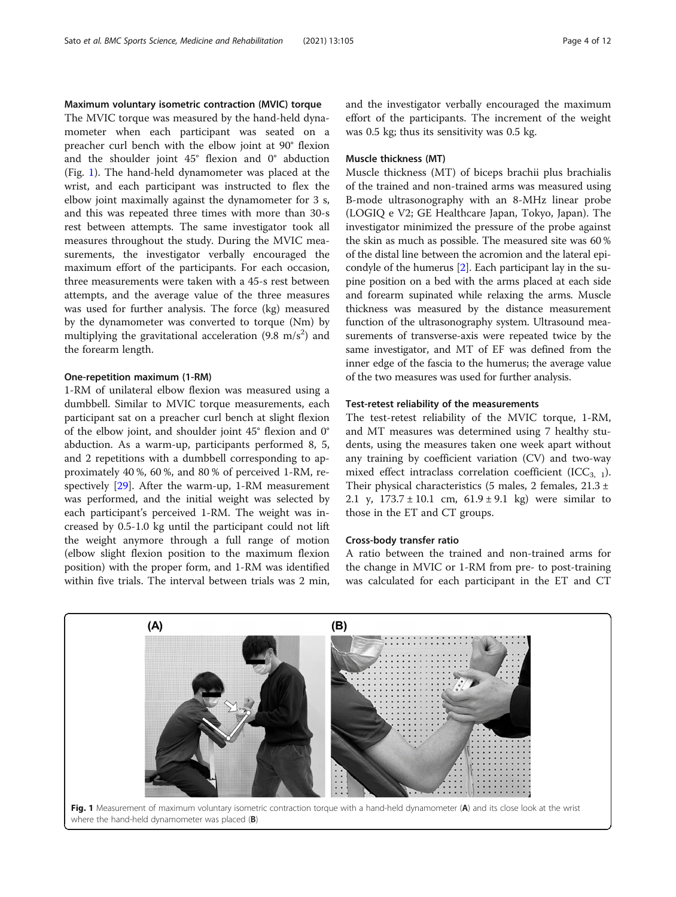#### <span id="page-5-0"></span>Maximum voluntary isometric contraction (MVIC) torque

The MVIC torque was measured by the hand-held dynamometer when each participant was seated on a preacher curl bench with the elbow joint at 90° flexion and the shoulder joint 45° flexion and 0° abduction (Fig. 1). The hand-held dynamometer was placed at the wrist, and each participant was instructed to flex the elbow joint maximally against the dynamometer for 3 s, and this was repeated three times with more than 30-s rest between attempts. The same investigator took all measures throughout the study. During the MVIC measurements, the investigator verbally encouraged the maximum effort of the participants. For each occasion, three measurements were taken with a 45-s rest between attempts, and the average value of the three measures was used for further analysis. The force (kg) measured by the dynamometer was converted to torque (Nm) by multiplying the gravitational acceleration (9.8 m/s<sup>2</sup>) and the forearm length.

#### One-repetition maximum (1-RM)

1-RM of unilateral elbow flexion was measured using a dumbbell. Similar to MVIC torque measurements, each participant sat on a preacher curl bench at slight flexion of the elbow joint, and shoulder joint 45° flexion and 0° abduction. As a warm-up, participants performed 8, 5, and 2 repetitions with a dumbbell corresponding to approximately 40 %, 60 %, and 80 % of perceived 1-RM, respectively [\[29](#page-13-0)]. After the warm-up, 1-RM measurement was performed, and the initial weight was selected by each participant's perceived 1-RM. The weight was increased by 0.5-1.0 kg until the participant could not lift the weight anymore through a full range of motion (elbow slight flexion position to the maximum flexion position) with the proper form, and 1-RM was identified within five trials. The interval between trials was 2 min, and the investigator verbally encouraged the maximum effort of the participants. The increment of the weight was 0.5 kg; thus its sensitivity was 0.5 kg.

#### Muscle thickness (MT)

Muscle thickness (MT) of biceps brachii plus brachialis of the trained and non-trained arms was measured using B-mode ultrasonography with an 8-MHz linear probe (LOGIQ e V2; GE Healthcare Japan, Tokyo, Japan). The investigator minimized the pressure of the probe against the skin as much as possible. The measured site was 60 % of the distal line between the acromion and the lateral epicondyle of the humerus [[2](#page-13-0)]. Each participant lay in the supine position on a bed with the arms placed at each side and forearm supinated while relaxing the arms. Muscle thickness was measured by the distance measurement function of the ultrasonography system. Ultrasound measurements of transverse-axis were repeated twice by the same investigator, and MT of EF was defined from the inner edge of the fascia to the humerus; the average value of the two measures was used for further analysis.

#### Test-retest reliability of the measurements

The test-retest reliability of the MVIC torque, 1-RM, and MT measures was determined using 7 healthy students, using the measures taken one week apart without any training by coefficient variation (CV) and two-way mixed effect intraclass correlation coefficient  $(ICC_{3,1})$ . Their physical characteristics (5 males, 2 females,  $21.3 \pm$ 2.1 y,  $173.7 \pm 10.1$  cm,  $61.9 \pm 9.1$  kg) were similar to those in the ET and CT groups.

#### Cross-body transfer ratio

A ratio between the trained and non-trained arms for the change in MVIC or 1-RM from pre- to post-training was calculated for each participant in the ET and CT

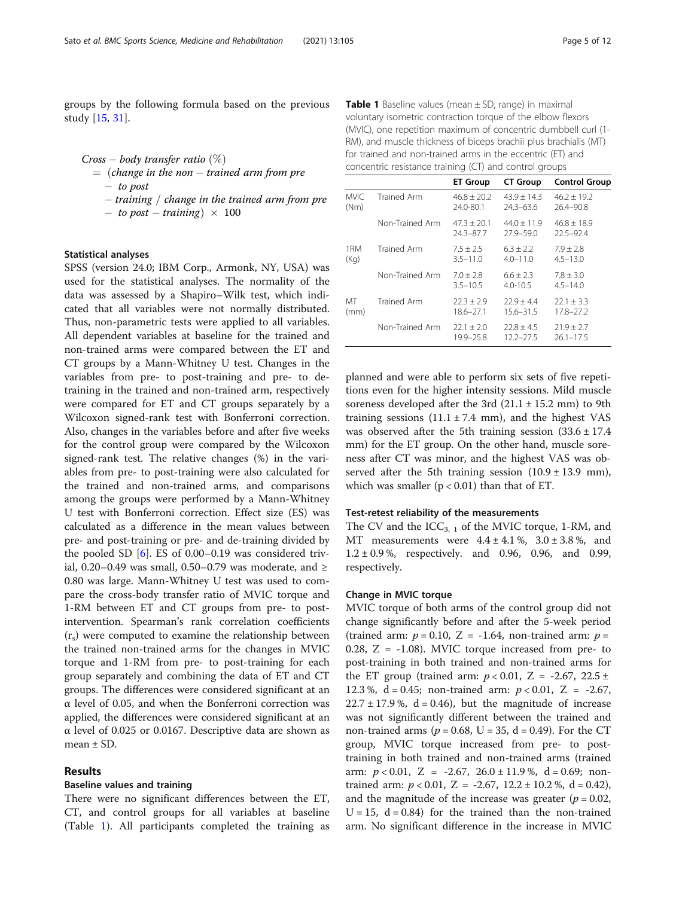groups by the following formula based on the previous study [[15,](#page-13-0) [31](#page-13-0)].

 $Cross - body transfer ratio$  (%)  $=$  (change in the non  $-$  trained arm from pre

 $-$  to post

 $t$  - training / change in the trained arm from pre - to post  $-$  training $) \times 100$ 

#### Statistical analyses

SPSS (version 24.0; IBM Corp., Armonk, NY, USA) was used for the statistical analyses. The normality of the data was assessed by a Shapiro–Wilk test, which indicated that all variables were not normally distributed. Thus, non-parametric tests were applied to all variables. All dependent variables at baseline for the trained and non-trained arms were compared between the ET and CT groups by a Mann-Whitney U test. Changes in the variables from pre- to post-training and pre- to detraining in the trained and non-trained arm, respectively were compared for ET and CT groups separately by a Wilcoxon signed-rank test with Bonferroni correction. Also, changes in the variables before and after five weeks for the control group were compared by the Wilcoxon signed-rank test. The relative changes (%) in the variables from pre- to post-training were also calculated for the trained and non-trained arms, and comparisons among the groups were performed by a Mann-Whitney U test with Bonferroni correction. Effect size (ES) was calculated as a difference in the mean values between pre- and post-training or pre- and de-training divided by the pooled SD [\[6](#page-13-0)]. ES of 0.00–0.19 was considered trivial, 0.20–0.49 was small, 0.50–0.79 was moderate, and  $\geq$ 0.80 was large. Mann-Whitney U test was used to compare the cross-body transfer ratio of MVIC torque and 1-RM between ET and CT groups from pre- to postintervention. Spearman's rank correlation coefficients  $(r<sub>s</sub>)$  were computed to examine the relationship between the trained non-trained arms for the changes in MVIC torque and 1-RM from pre- to post-training for each group separately and combining the data of ET and CT groups. The differences were considered significant at an α level of 0.05, and when the Bonferroni correction was applied, the differences were considered significant at an α level of 0.025 or 0.0167. Descriptive data are shown as mean  $\pm$  SD.

#### Results

#### Baseline values and training

There were no significant differences between the ET, CT, and control groups for all variables at baseline (Table 1). All participants completed the training as

**Table 1** Baseline values (mean  $\pm$  SD, range) in maximal voluntary isometric contraction torque of the elbow flexors (MVIC), one repetition maximum of concentric dumbbell curl (1- RM), and muscle thickness of biceps brachii plus brachialis (MT) for trained and non-trained arms in the eccentric (ET) and concentric resistance training (CT) and control groups

|                     |                 | <b>ET Group</b>             | <b>CT Group</b>                | <b>Control Group</b>            |
|---------------------|-----------------|-----------------------------|--------------------------------|---------------------------------|
| <b>MVIC</b><br>(Nm) | Trained Arm     | $46.8 + 20.2$<br>24.0-80.1  | $43.9 + 14.3$<br>$24.3 - 63.6$ | $46.2 + 19.2$<br>26.4-90.8      |
|                     | Non-Trained Arm | $47.3 + 20.1$<br>24.3-87.7  | $44.0 + 11.9$<br>$27.9 - 59.0$ | $46.8 + 18.9$<br>$22.5 - 92.4$  |
| 1RM<br>(Kq)         | Trained Arm     | $7.5 + 2.5$<br>$3.5 - 11.0$ | $6.3 + 2.2$<br>$4.0 - 11.0$    | $7.9 + 2.8$<br>$4.5 - 13.0$     |
|                     | Non-Trained Arm | $7.0 + 2.8$<br>$3.5 - 10.5$ | $6.6 \pm 2.3$<br>$4.0 - 10.5$  | $7.8 \pm 3.0$<br>$4.5 - 14.0$   |
| MT<br>(mm)          | Trained Arm     | $72.3 + 2.9$<br>18.6-27.1   | $72.9 + 4.4$<br>$15.6 - 31.5$  | $22.1 \pm 3.3$<br>$17.8 - 27.2$ |
|                     | Non-Trained Arm | $22.1 \pm 2.0$<br>19.9-25.8 | $22.8 + 4.5$<br>$12.2 - 27.5$  | $71.9 + 7.7$<br>$26.1 - 17.5$   |

planned and were able to perform six sets of five repetitions even for the higher intensity sessions. Mild muscle soreness developed after the 3rd  $(21.1 \pm 15.2 \text{ mm})$  to 9th training sessions  $(11.1 \pm 7.4 \text{ mm})$ , and the highest VAS was observed after the 5th training session  $(33.6 \pm 17.4)$ mm) for the ET group. On the other hand, muscle soreness after CT was minor, and the highest VAS was observed after the 5th training session  $(10.9 \pm 13.9 \text{ mm})$ , which was smaller  $(p < 0.01)$  than that of ET.

#### Test-retest reliability of the measurements

The CV and the  $ICC_{3, 1}$  of the MVIC torque, 1-RM, and MT measurements were  $4.4 \pm 4.1\%$ ,  $3.0 \pm 3.8\%$ , and  $1.2 \pm 0.9$ %, respectively. and 0.96, 0.96, and 0.99, respectively.

#### Change in MVIC torque

MVIC torque of both arms of the control group did not change significantly before and after the 5-week period (trained arm:  $p = 0.10$ , Z = -1.64, non-trained arm:  $p =$ 0.28,  $Z = -1.08$ ). MVIC torque increased from pre- to post-training in both trained and non-trained arms for the ET group (trained arm:  $p < 0.01$ , Z = -2.67, 22.5 ± 12.3 %,  $d = 0.45$ ; non-trained arm:  $p < 0.01$ ,  $Z = -2.67$ ,  $22.7 \pm 17.9$ %, d = 0.46), but the magnitude of increase was not significantly different between the trained and non-trained arms ( $p = 0.68$ , U = 35, d = 0.49). For the CT group, MVIC torque increased from pre- to posttraining in both trained and non-trained arms (trained arm:  $p < 0.01$ , Z = -2.67, 26.0 ± 11.9%, d = 0.69; nontrained arm:  $p < 0.01$ ,  $Z = -2.67$ ,  $12.2 \pm 10.2$  %,  $d = 0.42$ ), and the magnitude of the increase was greater ( $p = 0.02$ ,  $U = 15$ ,  $d = 0.84$ ) for the trained than the non-trained arm. No significant difference in the increase in MVIC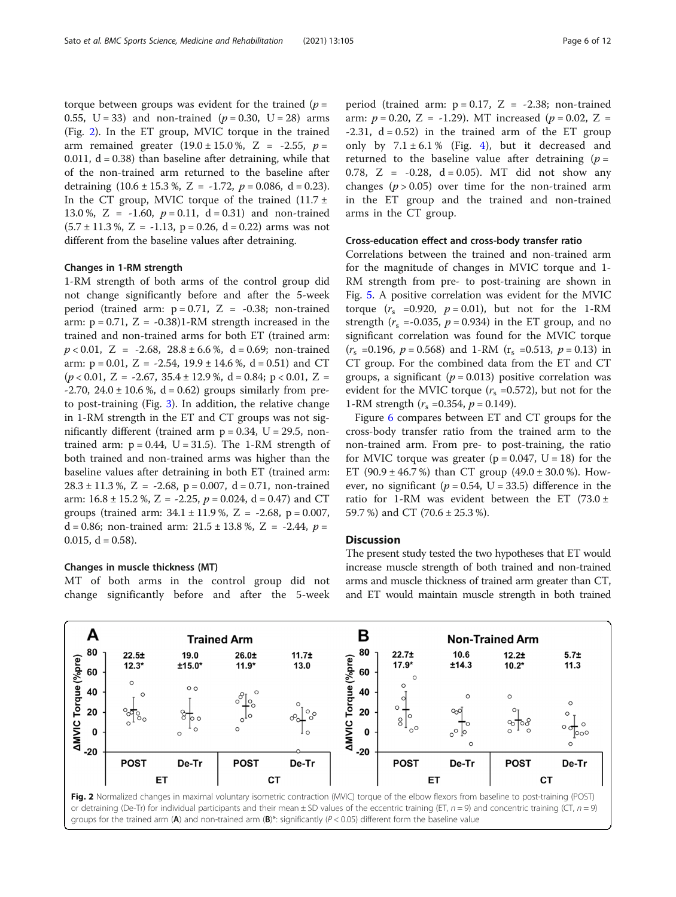<span id="page-7-0"></span>torque between groups was evident for the trained ( $p =$ 0.55, U = 33) and non-trained  $(p = 0.30, U = 28)$  arms (Fig. 2). In the ET group, MVIC torque in the trained arm remained greater  $(19.0 \pm 15.0 \%)$ , Z = -2.55, p = 0.011,  $d = 0.38$ ) than baseline after detraining, while that of the non-trained arm returned to the baseline after detraining  $(10.6 \pm 15.3 \%, Z = -1.72, p = 0.086, d = 0.23)$ . In the CT group, MVIC torque of the trained  $(11.7 \pm 1.7)$ 13.0 %, Z = -1.60,  $p = 0.11$ , d = 0.31) and non-trained  $(5.7 \pm 11.3 \%)$ , Z = -1.13, p = 0.26, d = 0.22) arms was not different from the baseline values after detraining.

#### Changes in 1-RM strength

1-RM strength of both arms of the control group did not change significantly before and after the 5-week period (trained arm:  $p = 0.71$ ,  $Z = -0.38$ ; non-trained arm:  $p = 0.71$ ,  $Z = -0.38$ )1-RM strength increased in the trained and non-trained arms for both ET (trained arm:  $p < 0.01$ , Z = -2.68, 28.8 ± 6.6 %, d = 0.69; non-trained arm:  $p = 0.01$ ,  $Z = -2.54$ ,  $19.9 \pm 14.6$  %,  $d = 0.51$ ) and CT  $(p < 0.01, Z = -2.67, 35.4 \pm 12.9, \emptyset, d = 0.84; p < 0.01, Z =$  $-2.70$ ,  $24.0 \pm 10.6$ %,  $d = 0.62$ ) groups similarly from preto post-training (Fig. [3](#page-8-0)). In addition, the relative change in 1-RM strength in the ET and CT groups was not significantly different (trained arm  $p = 0.34$ ,  $U = 29.5$ , nontrained arm:  $p = 0.44$ ,  $U = 31.5$ ). The 1-RM strength of both trained and non-trained arms was higher than the baseline values after detraining in both ET (trained arm:  $28.3 \pm 11.3$  %, Z = -2.68, p = 0.007, d = 0.71, non-trained arm:  $16.8 \pm 15.2$  %, Z = -2.25,  $p = 0.024$ , d = 0.47) and CT groups (trained arm:  $34.1 \pm 11.9$ %, Z = -2.68, p = 0.007, d = 0.86; non-trained arm:  $21.5 \pm 13.8$  %, Z = -2.44,  $p =$ 0.015,  $d = 0.58$ ).

#### Changes in muscle thickness (MT)

MT of both arms in the control group did not change significantly before and after the 5-week period (trained arm:  $p = 0.17$ ,  $Z = -2.38$ ; non-trained arm:  $p = 0.20$ ,  $Z = -1.29$ ). MT increased ( $p = 0.02$ ,  $Z =$  $-2.31$ ,  $d = 0.52$ ) in the trained arm of the ET group only by  $7.1 \pm 6.1$  % (Fig. [4\)](#page-8-0), but it decreased and returned to the baseline value after detraining  $(p =$ 0.78, Z =  $-0.28$ , d = 0.05). MT did not show any changes ( $p > 0.05$ ) over time for the non-trained arm in the ET group and the trained and non-trained arms in the CT group.

#### Cross-education effect and cross-body transfer ratio

Correlations between the trained and non-trained arm for the magnitude of changes in MVIC torque and 1- RM strength from pre- to post-training are shown in Fig. [5.](#page-9-0) A positive correlation was evident for the MVIC torque  $(r_s = 0.920, p = 0.01)$ , but not for the 1-RM strength ( $r_s = -0.035$ ,  $p = 0.934$ ) in the ET group, and no significant correlation was found for the MVIC torque  $(r<sub>s</sub> = 0.196, p = 0.568)$  and 1-RM  $(r<sub>s</sub> = 0.513, p = 0.13)$  in CT group. For the combined data from the ET and CT groups, a significant ( $p = 0.013$ ) positive correlation was evident for the MVIC torque  $(r_s = 0.572)$ , but not for the 1-RM strength  $(r_s = 0.354, p = 0.149)$ .

Figure [6](#page-10-0) compares between ET and CT groups for the cross-body transfer ratio from the trained arm to the non-trained arm. From pre- to post-training, the ratio for MVIC torque was greater ( $p = 0.047$ ,  $U = 18$ ) for the ET (90.9  $\pm$  46.7 %) than CT group (49.0  $\pm$  30.0 %). However, no significant ( $p = 0.54$ , U = 33.5) difference in the ratio for 1-RM was evident between the ET (73.0  $\pm$ 59.7 %) and CT (70.6 ± 25.3 %).

#### **Discussion**

The present study tested the two hypotheses that ET would increase muscle strength of both trained and non-trained arms and muscle thickness of trained arm greater than CT, and ET would maintain muscle strength in both trained

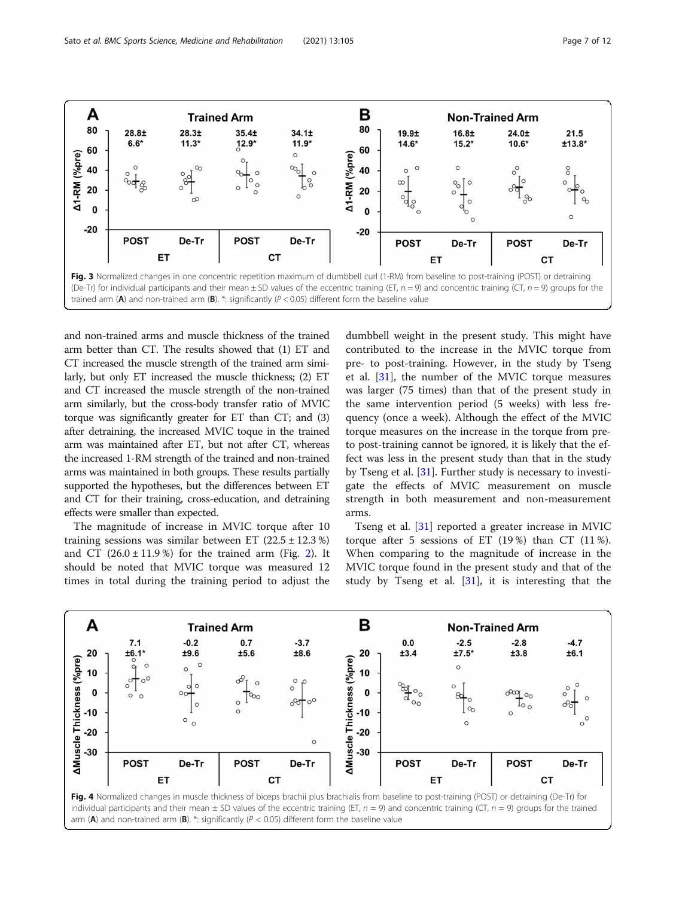<span id="page-8-0"></span>

and non-trained arms and muscle thickness of the trained arm better than CT. The results showed that (1) ET and CT increased the muscle strength of the trained arm similarly, but only ET increased the muscle thickness; (2) ET and CT increased the muscle strength of the non-trained arm similarly, but the cross-body transfer ratio of MVIC torque was significantly greater for ET than CT; and (3) after detraining, the increased MVIC toque in the trained arm was maintained after ET, but not after CT, whereas the increased 1-RM strength of the trained and non-trained arms was maintained in both groups. These results partially supported the hypotheses, but the differences between ET and CT for their training, cross-education, and detraining effects were smaller than expected.

The magnitude of increase in MVIC torque after 10 training sessions was similar between ET  $(22.5 \pm 12.3 \%)$ and CT  $(26.0 \pm 11.9\%)$  for the trained arm (Fig. [2\)](#page-7-0). It should be noted that MVIC torque was measured 12 times in total during the training period to adjust the

dumbbell weight in the present study. This might have contributed to the increase in the MVIC torque from pre- to post-training. However, in the study by Tseng et al. [[31\]](#page-13-0), the number of the MVIC torque measures was larger (75 times) than that of the present study in the same intervention period (5 weeks) with less frequency (once a week). Although the effect of the MVIC torque measures on the increase in the torque from preto post-training cannot be ignored, it is likely that the effect was less in the present study than that in the study by Tseng et al. [\[31](#page-13-0)]. Further study is necessary to investigate the effects of MVIC measurement on muscle strength in both measurement and non-measurement arms.

Tseng et al. [[31](#page-13-0)] reported a greater increase in MVIC torque after 5 sessions of ET  $(19\%)$  than CT  $(11\%)$ . When comparing to the magnitude of increase in the MVIC torque found in the present study and that of the study by Tseng et al. [[31\]](#page-13-0), it is interesting that the



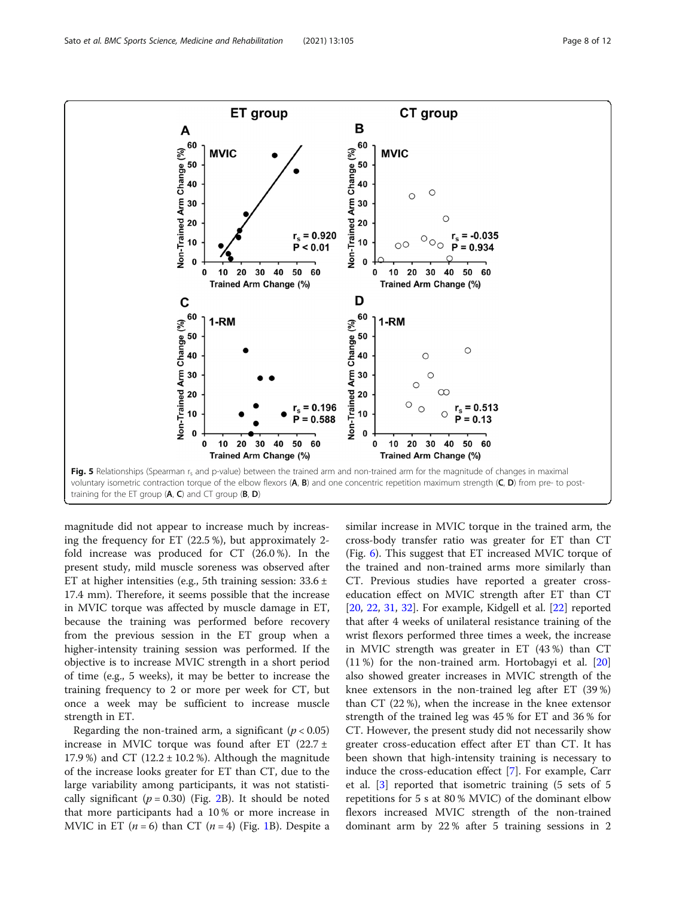<span id="page-9-0"></span>

magnitude did not appear to increase much by increasing the frequency for ET (22.5 %), but approximately 2 fold increase was produced for CT (26.0 %). In the present study, mild muscle soreness was observed after ET at higher intensities (e.g., 5th training session: 33.6 ± 17.4 mm). Therefore, it seems possible that the increase in MVIC torque was affected by muscle damage in ET, because the training was performed before recovery from the previous session in the ET group when a higher-intensity training session was performed. If the objective is to increase MVIC strength in a short period of time (e.g., 5 weeks), it may be better to increase the training frequency to 2 or more per week for CT, but once a week may be sufficient to increase muscle strength in ET.

Regarding the non-trained arm, a significant ( $p < 0.05$ ) increase in MVIC torque was found after ET  $(22.7 \pm$ 17.9%) and CT (12.2  $\pm$  10.2%). Although the magnitude of the increase looks greater for ET than CT, due to the large variability among participants, it was not statistically significant ( $p = 0.30$ ) (Fig. [2](#page-7-0)B). It should be noted that more participants had a 10 % or more increase in MVIC in ET  $(n = 6)$  than CT  $(n = 4)$  (Fig. [1](#page-5-0)B). Despite a similar increase in MVIC torque in the trained arm, the cross-body transfer ratio was greater for ET than CT (Fig. [6\)](#page-10-0). This suggest that ET increased MVIC torque of the trained and non-trained arms more similarly than CT. Previous studies have reported a greater crosseducation effect on MVIC strength after ET than CT [[20,](#page-13-0) [22](#page-13-0), [31](#page-13-0), [32\]](#page-13-0). For example, Kidgell et al. [\[22](#page-13-0)] reported that after 4 weeks of unilateral resistance training of the wrist flexors performed three times a week, the increase in MVIC strength was greater in ET (43 %) than CT (11 %) for the non-trained arm. Hortobagyi et al. [[20](#page-13-0)] also showed greater increases in MVIC strength of the knee extensors in the non-trained leg after ET (39 %) than CT (22 %), when the increase in the knee extensor strength of the trained leg was 45 % for ET and 36 % for CT. However, the present study did not necessarily show greater cross-education effect after ET than CT. It has been shown that high-intensity training is necessary to induce the cross-education effect [[7\]](#page-13-0). For example, Carr et al. [\[3](#page-13-0)] reported that isometric training (5 sets of 5 repetitions for 5 s at 80 % MVIC) of the dominant elbow flexors increased MVIC strength of the non-trained dominant arm by 22 % after 5 training sessions in 2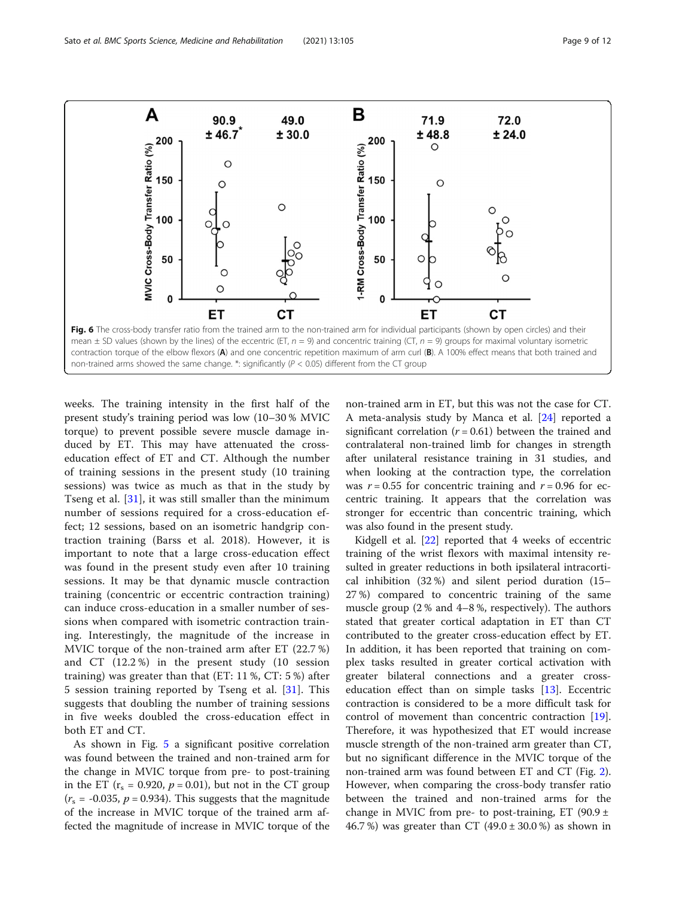<span id="page-10-0"></span>

weeks. The training intensity in the first half of the present study's training period was low (10–30 % MVIC torque) to prevent possible severe muscle damage induced by ET. This may have attenuated the crosseducation effect of ET and CT. Although the number of training sessions in the present study (10 training sessions) was twice as much as that in the study by Tseng et al. [\[31](#page-13-0)], it was still smaller than the minimum number of sessions required for a cross-education effect; 12 sessions, based on an isometric handgrip contraction training (Barss et al. 2018). However, it is important to note that a large cross-education effect was found in the present study even after 10 training sessions. It may be that dynamic muscle contraction training (concentric or eccentric contraction training) can induce cross-education in a smaller number of sessions when compared with isometric contraction training. Interestingly, the magnitude of the increase in MVIC torque of the non-trained arm after ET (22.7 %) and CT (12.2 %) in the present study (10 session training) was greater than that (ET: 11 %, CT: 5 %) after 5 session training reported by Tseng et al. [[31\]](#page-13-0). This suggests that doubling the number of training sessions in five weeks doubled the cross-education effect in both ET and CT.

As shown in Fig. [5](#page-9-0) a significant positive correlation was found between the trained and non-trained arm for the change in MVIC torque from pre- to post-training in the ET ( $r_s$  = 0.920,  $p$  = 0.01), but not in the CT group  $(r<sub>s</sub> = -0.035, p = 0.934)$ . This suggests that the magnitude of the increase in MVIC torque of the trained arm affected the magnitude of increase in MVIC torque of the non-trained arm in ET, but this was not the case for CT. A meta-analysis study by Manca et al. [\[24](#page-13-0)] reported a significant correlation  $(r = 0.61)$  between the trained and contralateral non-trained limb for changes in strength after unilateral resistance training in 31 studies, and when looking at the contraction type, the correlation was  $r = 0.55$  for concentric training and  $r = 0.96$  for eccentric training. It appears that the correlation was stronger for eccentric than concentric training, which was also found in the present study.

Kidgell et al. [\[22](#page-13-0)] reported that 4 weeks of eccentric training of the wrist flexors with maximal intensity resulted in greater reductions in both ipsilateral intracortical inhibition (32 %) and silent period duration (15– 27 %) compared to concentric training of the same muscle group (2 % and 4–8 %, respectively). The authors stated that greater cortical adaptation in ET than CT contributed to the greater cross-education effect by ET. In addition, it has been reported that training on complex tasks resulted in greater cortical activation with greater bilateral connections and a greater crosseducation effect than on simple tasks [[13\]](#page-13-0). Eccentric contraction is considered to be a more difficult task for control of movement than concentric contraction [\[19](#page-13-0)]. Therefore, it was hypothesized that ET would increase muscle strength of the non-trained arm greater than CT, but no significant difference in the MVIC torque of the non-trained arm was found between ET and CT (Fig. [2](#page-7-0)). However, when comparing the cross-body transfer ratio between the trained and non-trained arms for the change in MVIC from pre- to post-training, ET (90.9  $\pm$ 46.7 %) was greater than CT  $(49.0 \pm 30.0 \%)$  as shown in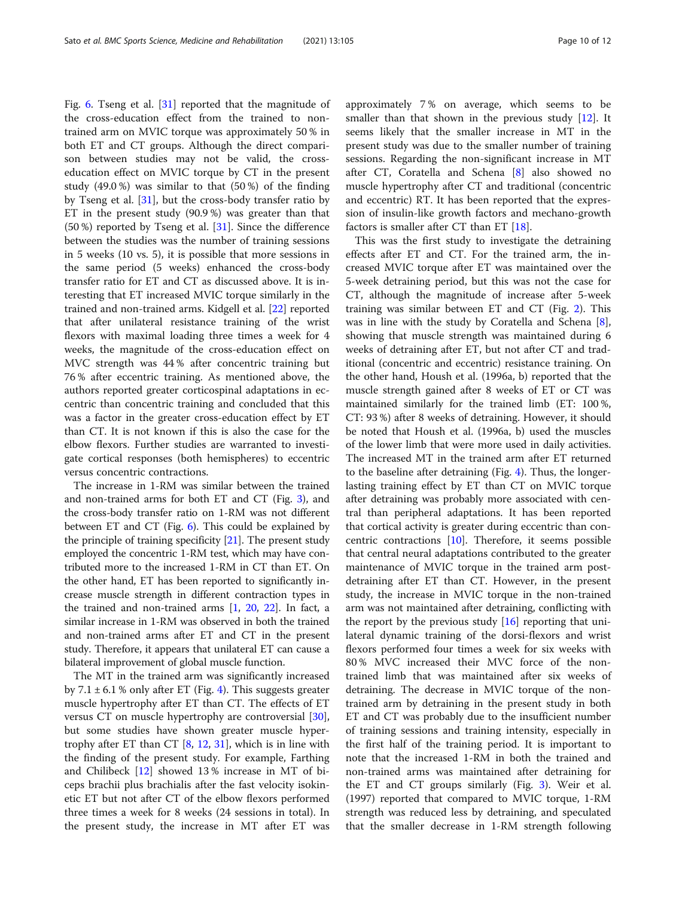Fig. [6](#page-10-0). Tseng et al. [[31\]](#page-13-0) reported that the magnitude of the cross-education effect from the trained to nontrained arm on MVIC torque was approximately 50 % in both ET and CT groups. Although the direct comparison between studies may not be valid, the crosseducation effect on MVIC torque by CT in the present study (49.0 %) was similar to that (50 %) of the finding by Tseng et al. [\[31](#page-13-0)], but the cross-body transfer ratio by ET in the present study (90.9 %) was greater than that (50 %) reported by Tseng et al. [[31](#page-13-0)]. Since the difference between the studies was the number of training sessions in 5 weeks (10 vs. 5), it is possible that more sessions in the same period (5 weeks) enhanced the cross-body transfer ratio for ET and CT as discussed above. It is interesting that ET increased MVIC torque similarly in the trained and non-trained arms. Kidgell et al. [[22\]](#page-13-0) reported that after unilateral resistance training of the wrist flexors with maximal loading three times a week for 4 weeks, the magnitude of the cross-education effect on MVC strength was 44 % after concentric training but 76 % after eccentric training. As mentioned above, the authors reported greater corticospinal adaptations in eccentric than concentric training and concluded that this was a factor in the greater cross-education effect by ET than CT. It is not known if this is also the case for the elbow flexors. Further studies are warranted to investigate cortical responses (both hemispheres) to eccentric versus concentric contractions.

The increase in 1-RM was similar between the trained and non-trained arms for both ET and CT (Fig. [3\)](#page-8-0), and the cross-body transfer ratio on 1-RM was not different between ET and CT (Fig. [6](#page-10-0)). This could be explained by the principle of training specificity  $[21]$ . The present study employed the concentric 1-RM test, which may have contributed more to the increased 1-RM in CT than ET. On the other hand, ET has been reported to significantly increase muscle strength in different contraction types in the trained and non-trained arms [\[1,](#page-13-0) [20](#page-13-0), [22](#page-13-0)]. In fact, a similar increase in 1-RM was observed in both the trained and non-trained arms after ET and CT in the present study. Therefore, it appears that unilateral ET can cause a bilateral improvement of global muscle function.

The MT in the trained arm was significantly increased by 7.1  $\pm$  6.1 % only after ET (Fig. [4](#page-8-0)). This suggests greater muscle hypertrophy after ET than CT. The effects of ET versus CT on muscle hypertrophy are controversial [\[30](#page-13-0)], but some studies have shown greater muscle hypertrophy after ET than CT  $[8, 12, 31]$  $[8, 12, 31]$  $[8, 12, 31]$  $[8, 12, 31]$  $[8, 12, 31]$  $[8, 12, 31]$ , which is in line with the finding of the present study. For example, Farthing and Chilibeck [[12\]](#page-13-0) showed 13 % increase in MT of biceps brachii plus brachialis after the fast velocity isokinetic ET but not after CT of the elbow flexors performed three times a week for 8 weeks (24 sessions in total). In the present study, the increase in MT after ET was approximately 7 % on average, which seems to be smaller than that shown in the previous study  $[12]$  $[12]$ . It seems likely that the smaller increase in MT in the present study was due to the smaller number of training sessions. Regarding the non-significant increase in MT after CT, Coratella and Schena [\[8](#page-13-0)] also showed no muscle hypertrophy after CT and traditional (concentric and eccentric) RT. It has been reported that the expression of insulin-like growth factors and mechano-growth factors is smaller after CT than ET [[18\]](#page-13-0).

This was the first study to investigate the detraining effects after ET and CT. For the trained arm, the increased MVIC torque after ET was maintained over the 5-week detraining period, but this was not the case for CT, although the magnitude of increase after 5-week training was similar between ET and CT (Fig. [2\)](#page-7-0). This was in line with the study by Coratella and Schena [\[8](#page-13-0)], showing that muscle strength was maintained during 6 weeks of detraining after ET, but not after CT and traditional (concentric and eccentric) resistance training. On the other hand, Housh et al. (1996a, b) reported that the muscle strength gained after 8 weeks of ET or CT was maintained similarly for the trained limb (ET: 100 %, CT: 93 %) after 8 weeks of detraining. However, it should be noted that Housh et al. (1996a, b) used the muscles of the lower limb that were more used in daily activities. The increased MT in the trained arm after ET returned to the baseline after detraining (Fig. [4\)](#page-8-0). Thus, the longerlasting training effect by ET than CT on MVIC torque after detraining was probably more associated with central than peripheral adaptations. It has been reported that cortical activity is greater during eccentric than concentric contractions [\[10\]](#page-13-0). Therefore, it seems possible that central neural adaptations contributed to the greater maintenance of MVIC torque in the trained arm postdetraining after ET than CT. However, in the present study, the increase in MVIC torque in the non-trained arm was not maintained after detraining, conflicting with the report by the previous study [[16\]](#page-13-0) reporting that unilateral dynamic training of the dorsi-flexors and wrist flexors performed four times a week for six weeks with 80 % MVC increased their MVC force of the nontrained limb that was maintained after six weeks of detraining. The decrease in MVIC torque of the nontrained arm by detraining in the present study in both ET and CT was probably due to the insufficient number of training sessions and training intensity, especially in the first half of the training period. It is important to note that the increased 1-RM in both the trained and non-trained arms was maintained after detraining for the ET and CT groups similarly (Fig. [3](#page-8-0)). Weir et al. (1997) reported that compared to MVIC torque, 1-RM strength was reduced less by detraining, and speculated that the smaller decrease in 1-RM strength following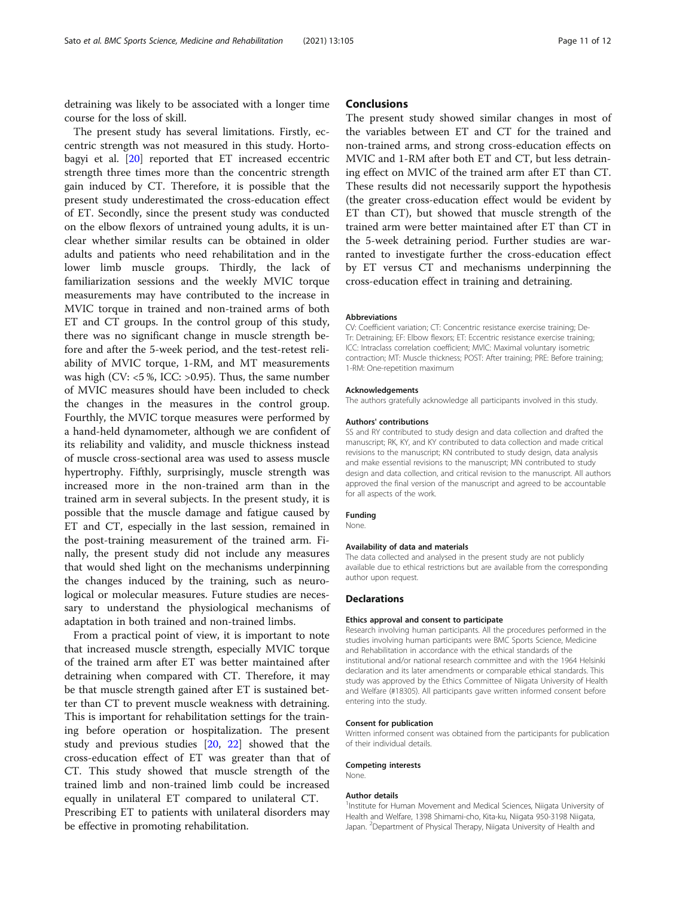detraining was likely to be associated with a longer time course for the loss of skill.

The present study has several limitations. Firstly, eccentric strength was not measured in this study. Hortobagyi et al. [\[20](#page-13-0)] reported that ET increased eccentric strength three times more than the concentric strength gain induced by CT. Therefore, it is possible that the present study underestimated the cross-education effect of ET. Secondly, since the present study was conducted on the elbow flexors of untrained young adults, it is unclear whether similar results can be obtained in older adults and patients who need rehabilitation and in the lower limb muscle groups. Thirdly, the lack of familiarization sessions and the weekly MVIC torque measurements may have contributed to the increase in MVIC torque in trained and non-trained arms of both ET and CT groups. In the control group of this study, there was no significant change in muscle strength before and after the 5-week period, and the test-retest reliability of MVIC torque, 1-RM, and MT measurements was high (CV:  $<$ 5 %, ICC:  $>$ 0.95). Thus, the same number of MVIC measures should have been included to check the changes in the measures in the control group. Fourthly, the MVIC torque measures were performed by a hand-held dynamometer, although we are confident of its reliability and validity, and muscle thickness instead of muscle cross-sectional area was used to assess muscle hypertrophy. Fifthly, surprisingly, muscle strength was increased more in the non-trained arm than in the trained arm in several subjects. In the present study, it is possible that the muscle damage and fatigue caused by ET and CT, especially in the last session, remained in the post-training measurement of the trained arm. Finally, the present study did not include any measures that would shed light on the mechanisms underpinning the changes induced by the training, such as neurological or molecular measures. Future studies are necessary to understand the physiological mechanisms of adaptation in both trained and non-trained limbs.

From a practical point of view, it is important to note that increased muscle strength, especially MVIC torque of the trained arm after ET was better maintained after detraining when compared with CT. Therefore, it may be that muscle strength gained after ET is sustained better than CT to prevent muscle weakness with detraining. This is important for rehabilitation settings for the training before operation or hospitalization. The present study and previous studies [[20,](#page-13-0) [22](#page-13-0)] showed that the cross-education effect of ET was greater than that of CT. This study showed that muscle strength of the trained limb and non-trained limb could be increased equally in unilateral ET compared to unilateral CT. Prescribing ET to patients with unilateral disorders may be effective in promoting rehabilitation.

#### **Conclusions**

The present study showed similar changes in most of the variables between ET and CT for the trained and non-trained arms, and strong cross-education effects on MVIC and 1-RM after both ET and CT, but less detraining effect on MVIC of the trained arm after ET than CT. These results did not necessarily support the hypothesis (the greater cross-education effect would be evident by ET than CT), but showed that muscle strength of the trained arm were better maintained after ET than CT in the 5-week detraining period. Further studies are warranted to investigate further the cross-education effect by ET versus CT and mechanisms underpinning the cross-education effect in training and detraining.

#### Abbreviations

CV: Coefficient variation; CT: Concentric resistance exercise training; De-Tr: Detraining; EF: Elbow flexors; ET: Eccentric resistance exercise training; ICC: Intraclass correlation coefficient; MVIC: Maximal voluntary isometric contraction; MT: Muscle thickness; POST: After training; PRE: Before training; 1-RM: One-repetition maximum

#### Acknowledgements

The authors gratefully acknowledge all participants involved in this study.

#### Authors' contributions

SS and RY contributed to study design and data collection and drafted the manuscript; RK, KY, and KY contributed to data collection and made critical revisions to the manuscript; KN contributed to study design, data analysis and make essential revisions to the manuscript; MN contributed to study design and data collection, and critical revision to the manuscript. All authors approved the final version of the manuscript and agreed to be accountable for all aspects of the work.

#### Funding

None.

#### Availability of data and materials

The data collected and analysed in the present study are not publicly available due to ethical restrictions but are available from the corresponding author upon request.

#### **Declarations**

#### Ethics approval and consent to participate

Research involving human participants. All the procedures performed in the studies involving human participants were BMC Sports Science, Medicine and Rehabilitation in accordance with the ethical standards of the institutional and/or national research committee and with the 1964 Helsinki declaration and its later amendments or comparable ethical standards. This study was approved by the Ethics Committee of Niigata University of Health and Welfare (#18305). All participants gave written informed consent before entering into the study.

#### Consent for publication

Written informed consent was obtained from the participants for publication of their individual details.

#### Competing interests

None.

#### Author details

<sup>1</sup>Institute for Human Movement and Medical Sciences, Niigata University of Health and Welfare, 1398 Shimami-cho, Kita-ku, Niigata 950-3198 Niigata, Japan. <sup>2</sup>Department of Physical Therapy, Niigata University of Health and